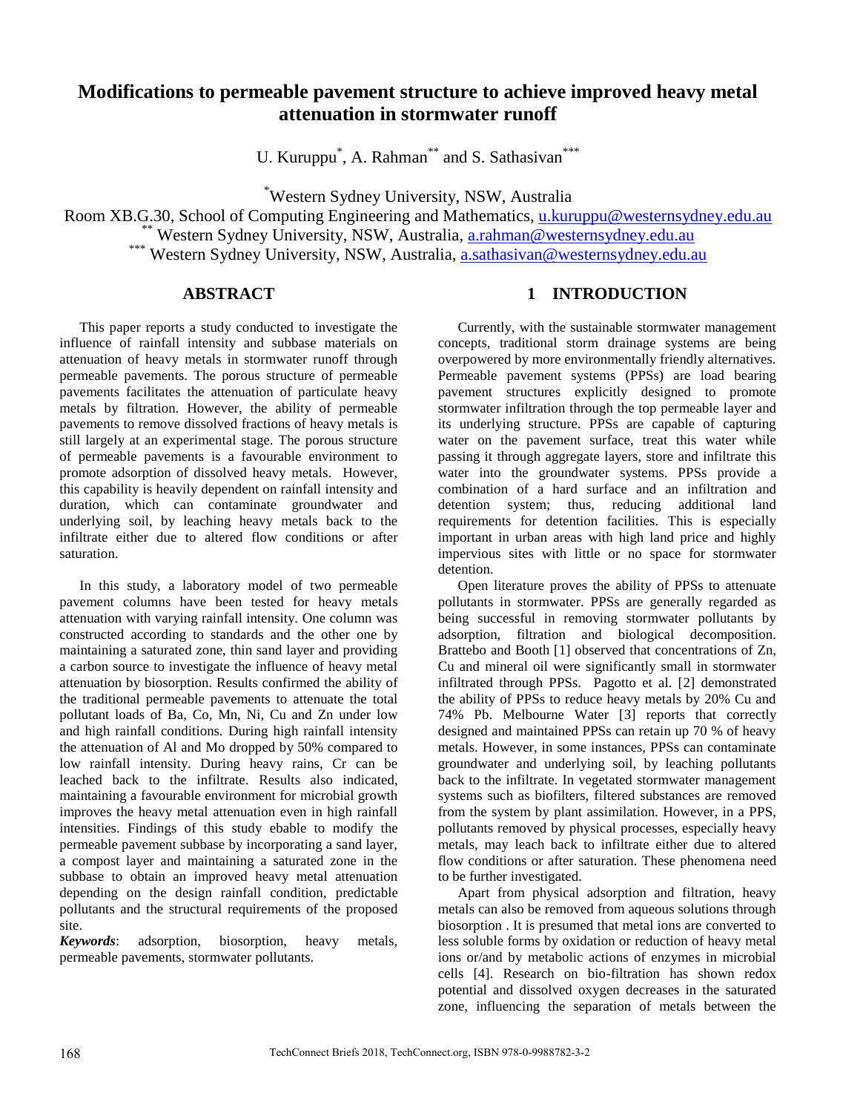# **Modifications to permeable pavement structure to achieve improved heavy metal attenuation in stormwater runoff**

U. Kuruppu<sup>\*</sup>, A. Rahman<sup>\*\*</sup> and S. Sathasivan<sup>\*\*\*</sup>

\*Western Sydney University, NSW, Australia

Room XB.G.30, School of Computing Engineering and Mathematics, [u.kuruppu@westernsydney.edu.au](mailto:u.kuruppu@westernsydney.edu.au) \*\* Western Sydney University, NSW, Australia, [a.rahman@westernsydney.edu.au](mailto:a.rahman@westernsydney.edu.au) \*\*\* Western Sydney University, NSW, Australia, **a.sathasivan@westernsydney.edu.au** 

## **ABSTRACT**

This paper reports a study conducted to investigate the influence of rainfall intensity and subbase materials on attenuation of heavy metals in stormwater runoff through permeable pavements. The porous structure of permeable pavements facilitates the attenuation of particulate heavy metals by filtration. However, the ability of permeable pavements to remove dissolved fractions of heavy metals is still largely at an experimental stage. The porous structure of permeable pavements is a favourable environment to promote adsorption of dissolved heavy metals. However, this capability is heavily dependent on rainfall intensity and duration, which can contaminate groundwater and underlying soil, by leaching heavy metals back to the infiltrate either due to altered flow conditions or after saturation.

In this study, a laboratory model of two permeable pavement columns have been tested for heavy metals attenuation with varying rainfall intensity. One column was constructed according to standards and the other one by maintaining a saturated zone, thin sand layer and providing a carbon source to investigate the influence of heavy metal attenuation by biosorption. Results confirmed the ability of the traditional permeable pavements to attenuate the total pollutant loads of Ba, Co, Mn, Ni, Cu and Zn under low and high rainfall conditions. During high rainfall intensity the attenuation of Al and Mo dropped by 50% compared to low rainfall intensity. During heavy rains, Cr can be leached back to the infiltrate. Results also indicated, maintaining a favourable environment for microbial growth improves the heavy metal attenuation even in high rainfall intensities. Findings of this study ebable to modify the permeable pavement subbase by incorporating a sand layer, a compost layer and maintaining a saturated zone in the subbase to obtain an improved heavy metal attenuation depending on the design rainfall condition, predictable pollutants and the structural requirements of the proposed site.

*Keywords*: adsorption, biosorption, heavy metals, permeable pavements, stormwater pollutants.

# **1 INTRODUCTION**

Currently, with the sustainable stormwater management concepts, traditional storm drainage systems are being overpowered by more environmentally friendly alternatives. Permeable pavement systems (PPSs) are load bearing pavement structures explicitly designed to promote stormwater infiltration through the top permeable layer and its underlying structure. PPSs are capable of capturing water on the pavement surface, treat this water while passing it through aggregate layers, store and infiltrate this water into the groundwater systems. PPSs provide a combination of a hard surface and an infiltration and detention system; thus, reducing additional land requirements for detention facilities. This is especially important in urban areas with high land price and highly impervious sites with little or no space for stormwater detention.

Open literature proves the ability of PPSs to attenuate pollutants in stormwater. PPSs are generally regarded as being successful in removing stormwater pollutants by adsorption, filtration and biological decomposition. Brattebo and Booth [1] observed that concentrations of Zn, Cu and mineral oil were significantly small in stormwater infiltrated through PPSs. Pagotto et al. [2] demonstrated the ability of PPSs to reduce heavy metals by 20% Cu and 74% Pb. Melbourne Water [3] reports that correctly designed and maintained PPSs can retain up 70 % of heavy metals. However, in some instances, PPSs can contaminate groundwater and underlying soil, by leaching pollutants back to the infiltrate. In vegetated stormwater management systems such as biofilters, filtered substances are removed from the system by plant assimilation. However, in a PPS, pollutants removed by physical processes, especially heavy metals, may leach back to infiltrate either due to altered flow conditions or after saturation. These phenomena need to be further investigated.

Apart from physical adsorption and filtration, heavy metals can also be removed from aqueous solutions through biosorption . It is presumed that metal ions are converted to less soluble forms by oxidation or reduction of heavy metal ions or/and by metabolic actions of enzymes in microbial cells [4]. Research on bio-filtration has shown redox potential and dissolved oxygen decreases in the saturated zone, influencing the separation of metals between the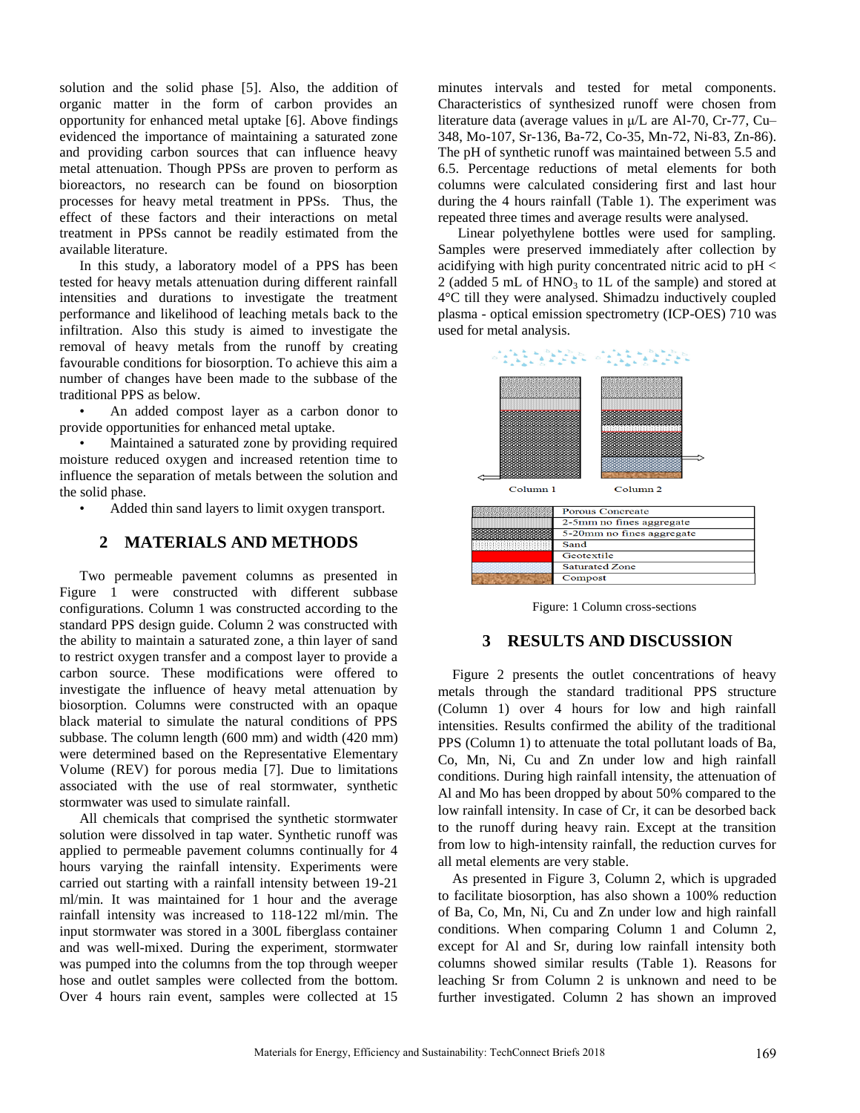solution and the solid phase [5]. Also, the addition of organic matter in the form of carbon provides an opportunity for enhanced metal uptake [6]. Above findings evidenced the importance of maintaining a saturated zone and providing carbon sources that can influence heavy metal attenuation. Though PPSs are proven to perform as bioreactors, no research can be found on biosorption processes for heavy metal treatment in PPSs. Thus, the effect of these factors and their interactions on metal treatment in PPSs cannot be readily estimated from the available literature.

In this study, a laboratory model of a PPS has been tested for heavy metals attenuation during different rainfall intensities and durations to investigate the treatment performance and likelihood of leaching metals back to the infiltration. Also this study is aimed to investigate the removal of heavy metals from the runoff by creating favourable conditions for biosorption. To achieve this aim a number of changes have been made to the subbase of the traditional PPS as below.

• An added compost layer as a carbon donor to provide opportunities for enhanced metal uptake.

Maintained a saturated zone by providing required moisture reduced oxygen and increased retention time to influence the separation of metals between the solution and the solid phase.

• Added thin sand layers to limit oxygen transport.

#### **2 MATERIALS AND METHODS**

Two permeable pavement columns as presented in Figure 1 were constructed with different subbase configurations. Column 1 was constructed according to the standard PPS design guide. Column 2 was constructed with the ability to maintain a saturated zone, a thin layer of sand to restrict oxygen transfer and a compost layer to provide a carbon source. These modifications were offered to investigate the influence of heavy metal attenuation by biosorption. Columns were constructed with an opaque black material to simulate the natural conditions of PPS subbase. The column length (600 mm) and width (420 mm) were determined based on the Representative Elementary Volume (REV) for porous media [7]. Due to limitations associated with the use of real stormwater, synthetic stormwater was used to simulate rainfall.

All chemicals that comprised the synthetic stormwater solution were dissolved in tap water. Synthetic runoff was applied to permeable pavement columns continually for 4 hours varying the rainfall intensity. Experiments were carried out starting with a rainfall intensity between 19-21 ml/min. It was maintained for 1 hour and the average rainfall intensity was increased to 118-122 ml/min. The input stormwater was stored in a 300L fiberglass container and was well-mixed. During the experiment, stormwater was pumped into the columns from the top through weeper hose and outlet samples were collected from the bottom. Over 4 hours rain event, samples were collected at 15

minutes intervals and tested for metal components. Characteristics of synthesized runoff were chosen from literature data (average values in μ/L are Al-70, Cr-77, Cu– 348, Mo-107, Sr-136, Ba-72, Co-35, Mn-72, Ni-83, Zn-86). The pH of synthetic runoff was maintained between 5.5 and 6.5. Percentage reductions of metal elements for both columns were calculated considering first and last hour during the 4 hours rainfall (Table 1). The experiment was repeated three times and average results were analysed.

Linear polyethylene bottles were used for sampling. Samples were preserved immediately after collection by acidifying with high purity concentrated nitric acid to pH < 2 (added 5 mL of  $HNO<sub>3</sub>$  to 1L of the sample) and stored at 4°C till they were analysed. Shimadzu inductively coupled plasma - optical emission spectrometry (ICP-OES) 710 was used for metal analysis.



Figure: 1 Column cross-sections

#### **3 RESULTS AND DISCUSSION**

Figure 2 presents the outlet concentrations of heavy metals through the standard traditional PPS structure (Column 1) over 4 hours for low and high rainfall intensities. Results confirmed the ability of the traditional PPS (Column 1) to attenuate the total pollutant loads of Ba, Co, Mn, Ni, Cu and Zn under low and high rainfall conditions. During high rainfall intensity, the attenuation of Al and Mo has been dropped by about 50% compared to the low rainfall intensity. In case of Cr, it can be desorbed back to the runoff during heavy rain. Except at the transition from low to high-intensity rainfall, the reduction curves for all metal elements are very stable.

As presented in Figure 3, Column 2, which is upgraded to facilitate biosorption, has also shown a 100% reduction of Ba, Co, Mn, Ni, Cu and Zn under low and high rainfall conditions. When comparing Column 1 and Column 2, except for Al and Sr, during low rainfall intensity both columns showed similar results (Table 1). Reasons for leaching Sr from Column 2 is unknown and need to be further investigated. Column 2 has shown an improved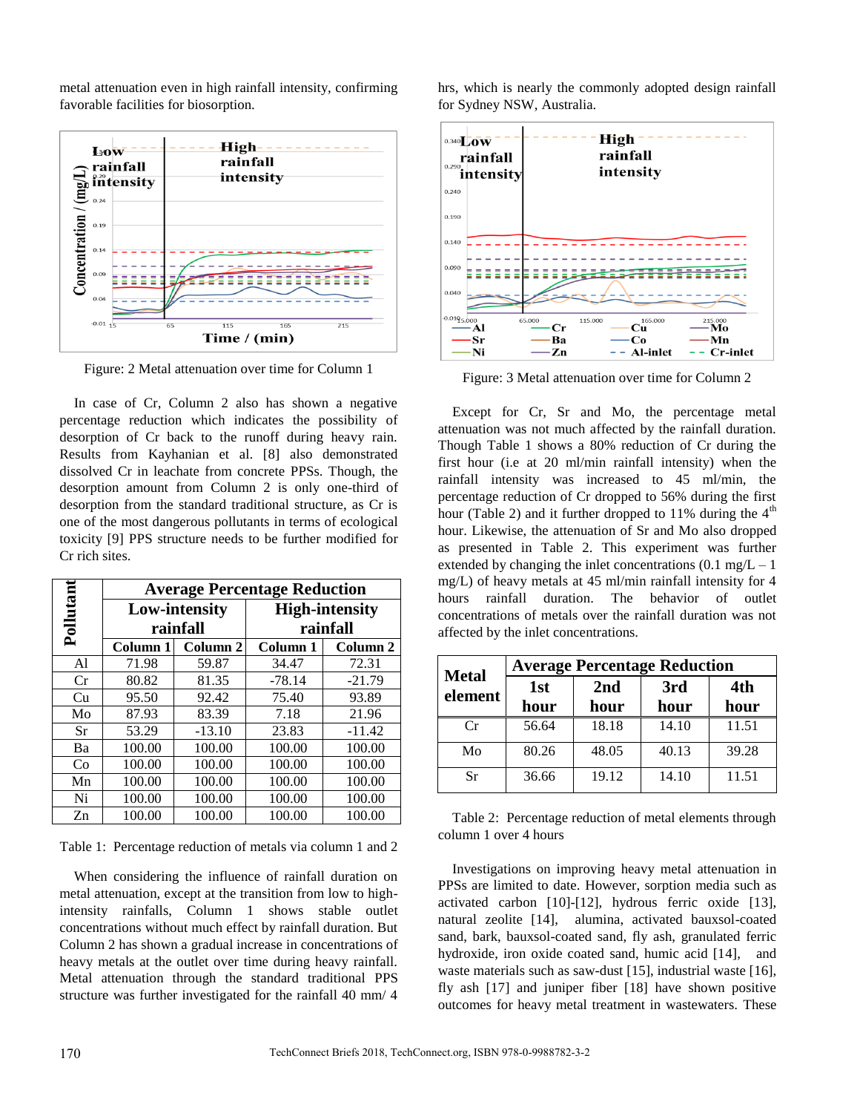metal attenuation even in high rainfall intensity, confirming favorable facilities for biosorption.



Figure: 2 Metal attenuation over time for Column 1

In case of Cr, Column 2 also has shown a negative percentage reduction which indicates the possibility of desorption of Cr back to the runoff during heavy rain. Results from Kayhanian et al. [8] also demonstrated dissolved Cr in leachate from concrete PPSs. Though, the desorption amount from Column 2 is only one-third of desorption from the standard traditional structure, as Cr is one of the most dangerous pollutants in terms of ecological toxicity [9] PPS structure needs to be further modified for Cr rich sites.

|         | <b>Average Percentage Reduction</b> |          |                       |          |  |
|---------|-------------------------------------|----------|-----------------------|----------|--|
| ollutan | <b>Low-intensity</b>                |          | <b>High-intensity</b> |          |  |
| ≏       | rainfall                            |          | rainfall              |          |  |
|         | Column 1                            | Column 2 | Column 1              | Column 2 |  |
| Al      | 71.98                               | 59.87    | 34.47                 | 72.31    |  |
| Cr      | 80.82                               | 81.35    | $-78.14$              | $-21.79$ |  |
| Cu      | 95.50                               | 92.42    | 75.40                 | 93.89    |  |
| Mo      | 87.93                               | 83.39    | 7.18                  | 21.96    |  |
| Sr      | 53.29                               | $-13.10$ | 23.83                 | $-11.42$ |  |
| Ba      | 100.00                              | 100.00   | 100.00                | 100.00   |  |
| Co      | 100.00                              | 100.00   | 100.00                | 100.00   |  |
| Mn      | 100.00                              | 100.00   | 100.00                | 100.00   |  |
| Ni      | 100.00                              | 100.00   | 100.00                | 100.00   |  |
| Zn      | 100.00                              | 100.00   | 100.00                | 100.00   |  |

Table 1: Percentage reduction of metals via column 1 and 2

When considering the influence of rainfall duration on metal attenuation, except at the transition from low to highintensity rainfalls, Column 1 shows stable outlet concentrations without much effect by rainfall duration. But Column 2 has shown a gradual increase in concentrations of heavy metals at the outlet over time during heavy rainfall. Metal attenuation through the standard traditional PPS structure was further investigated for the rainfall 40 mm/ 4

hrs, which is nearly the commonly adopted design rainfall for Sydney NSW, Australia.



Figure: 3 Metal attenuation over time for Column 2

Except for Cr, Sr and Mo, the percentage metal attenuation was not much affected by the rainfall duration. Though Table 1 shows a 80% reduction of Cr during the first hour (i.e at 20 ml/min rainfall intensity) when the rainfall intensity was increased to 45 ml/min, the percentage reduction of Cr dropped to 56% during the first hour (Table 2) and it further dropped to 11% during the  $4<sup>th</sup>$ hour. Likewise, the attenuation of Sr and Mo also dropped as presented in Table 2. This experiment was further extended by changing the inlet concentrations  $(0.1 \text{ mg/L} - 1)$ mg/L) of heavy metals at 45 ml/min rainfall intensity for 4 hours rainfall duration. The behavior of outlet concentrations of metals over the rainfall duration was not affected by the inlet concentrations.

| <b>Metal</b> | <b>Average Percentage Reduction</b> |             |             |             |  |
|--------------|-------------------------------------|-------------|-------------|-------------|--|
| element      | 1st<br>hour                         | 2nd<br>hour | 3rd<br>hour | 4th<br>hour |  |
| Cr           | 56.64                               | 18.18       | 14.10       | 11.51       |  |
| Mo           | 80.26                               | 48.05       | 40.13       | 39.28       |  |
| Sr           | 36.66                               | 19.12       | 14.10       | 11.51       |  |

Table 2: Percentage reduction of metal elements through column 1 over 4 hours

Investigations on improving heavy metal attenuation in PPSs are limited to date. However, sorption media such as activated carbon [10]-[12], hydrous ferric oxide [13], natural zeolite [14], alumina, activated bauxsol-coated sand, bark, bauxsol-coated sand, fly ash, granulated ferric hydroxide, iron oxide coated sand, humic acid [14], and waste materials such as saw-dust [15], industrial waste [16], fly ash [17] and juniper fiber [18] have shown positive outcomes for heavy metal treatment in wastewaters. These